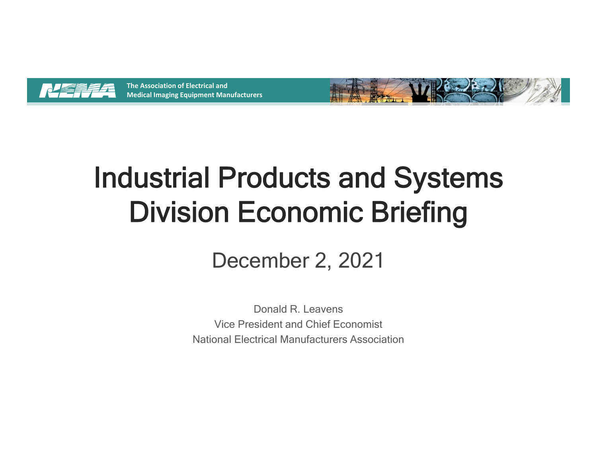



# Industrial Products and Systems Division Economic Briefing

# December 2, 2021

Donald R. LeavensVice President and Chief EconomistNational Electrical Manufacturers Association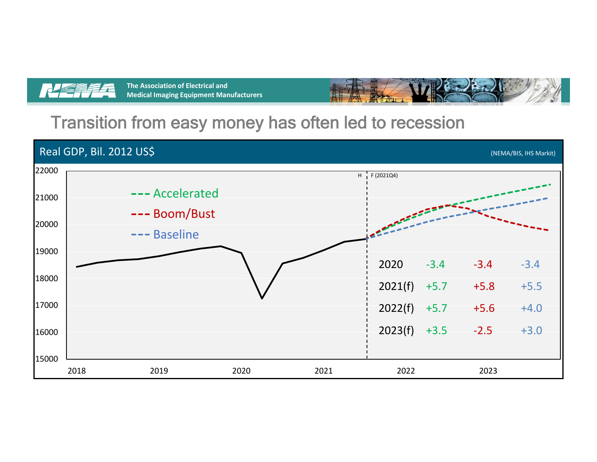



#### Transition from easy money has often led to recession

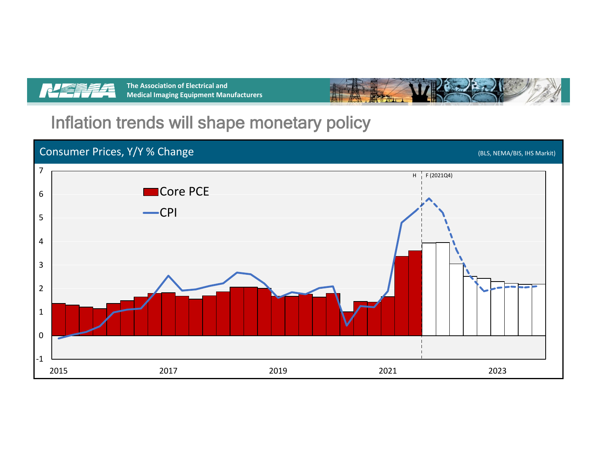



# Inflation trends will shape monetary policy

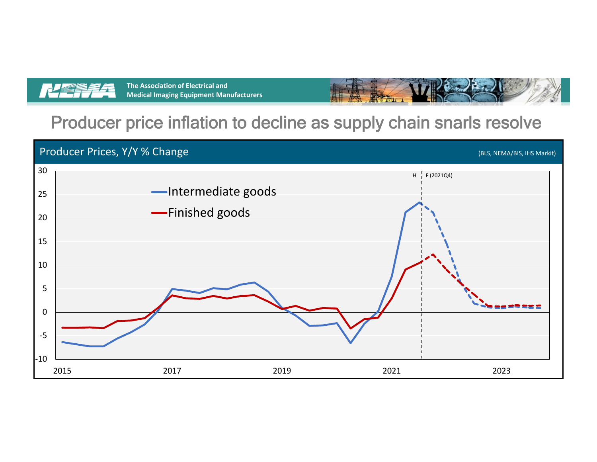



#### Producer price inflation to decline as supply chain snarls resolve

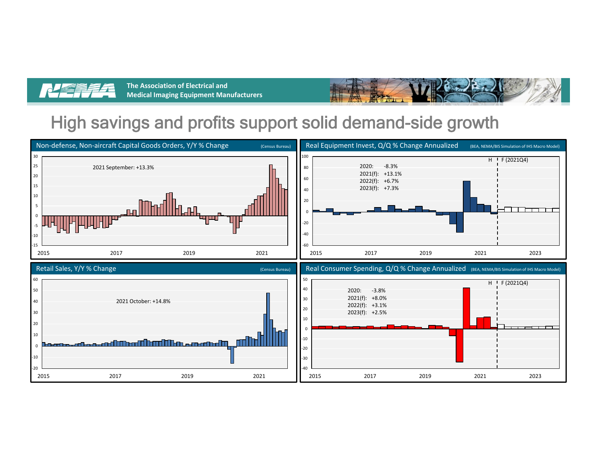



# High savings and profits support solid demand-side growth

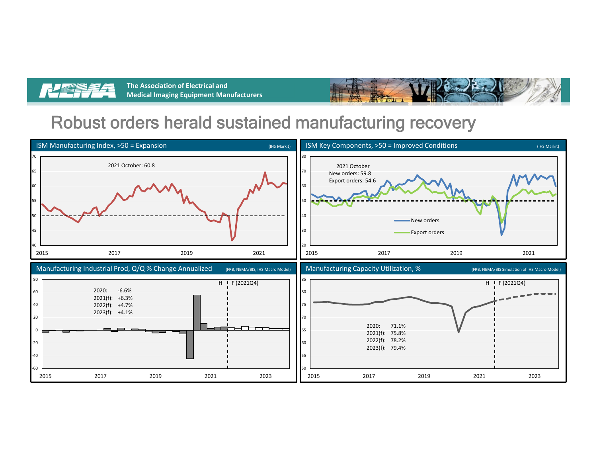



### Robust orders herald sustained manufacturing recovery

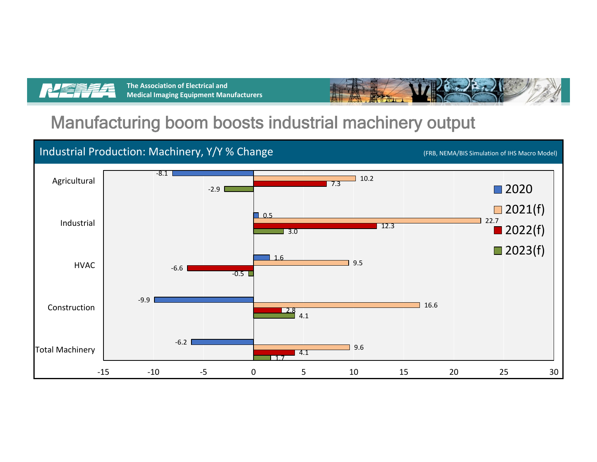



#### Manufacturing boom boosts industrial machinery output

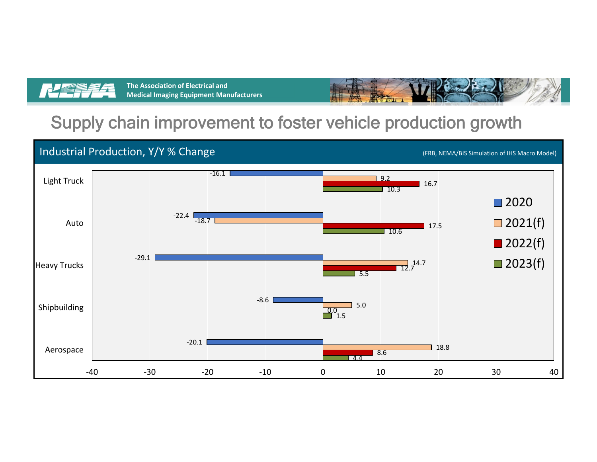



### Supply chain improvement to foster vehicle production growth

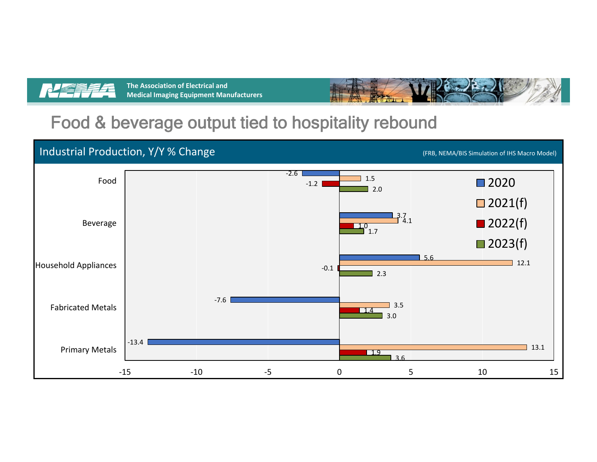



## Food & beverage output tied to hospitality rebound

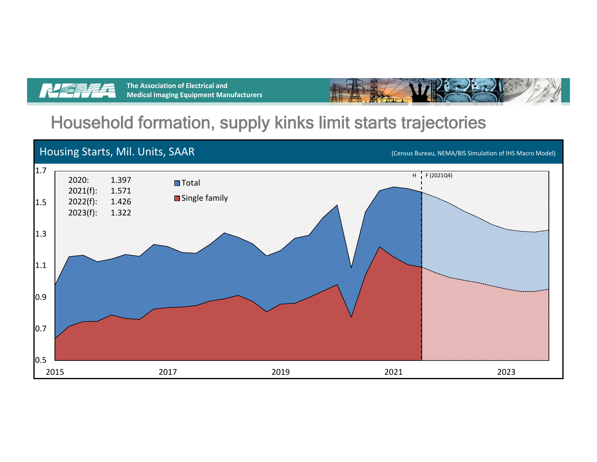



# Household formation, supply kinks limit starts trajectories

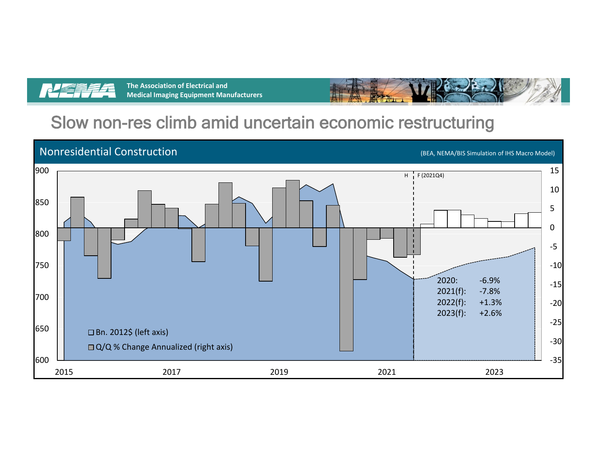



# Slow non-res climb amid uncertain economic restructuring

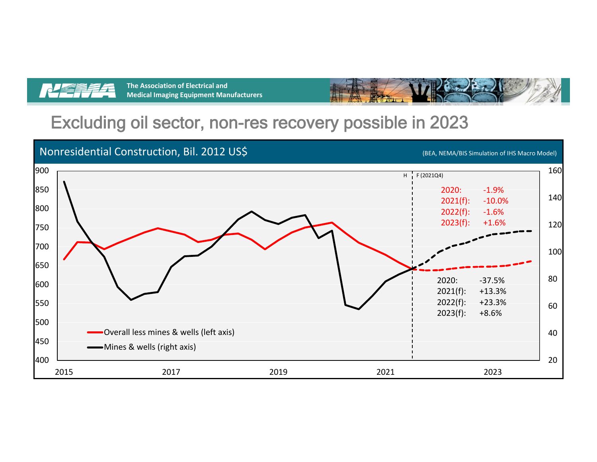



#### Excluding oil sector, non-res recovery possible in 2023

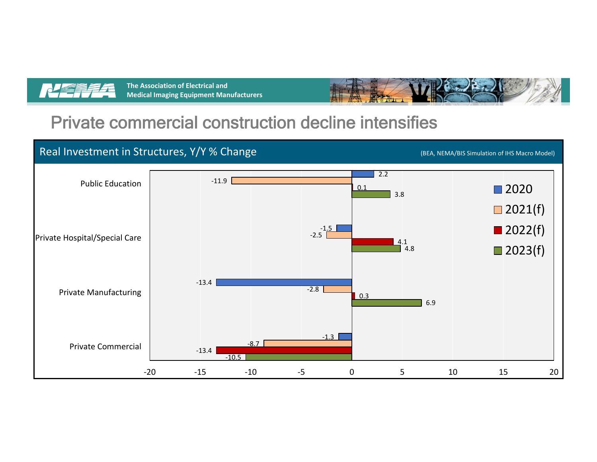



#### Private commercial construction decline intensifies

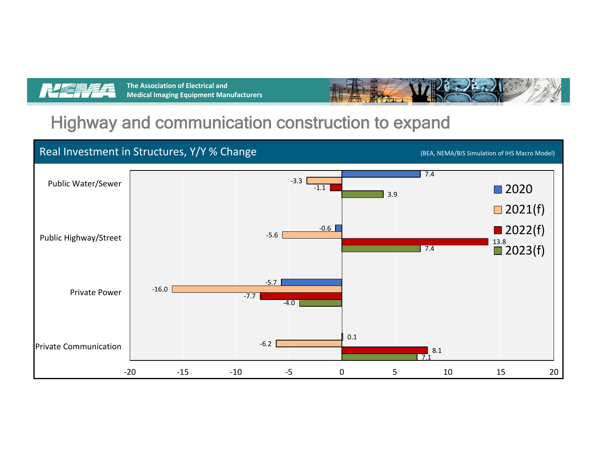



### Highway and communication construction to expand